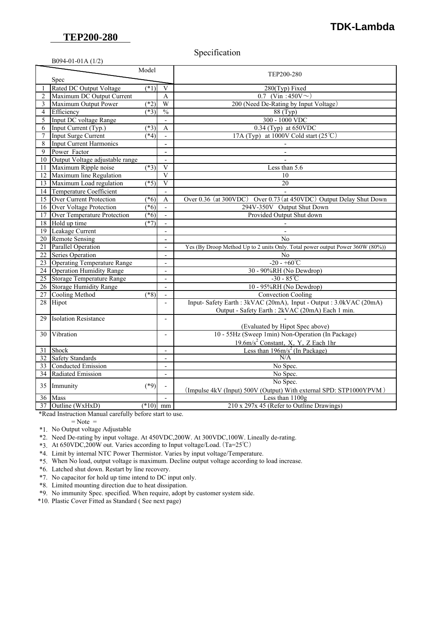## **TEP200-280**

## **TDK-Lambda**

## Specification

|                 | B094-01-01A (1/2)                  |            |                          |                                                                               |
|-----------------|------------------------------------|------------|--------------------------|-------------------------------------------------------------------------------|
|                 | Model<br>Spec                      |            |                          | TEP200-280                                                                    |
|                 |                                    |            |                          |                                                                               |
|                 | <b>Rated DC Output Voltage</b>     | $(*1)$     | $\overline{\mathbf{V}}$  | 280(Typ) Fixed                                                                |
| $\overline{2}$  | Maximum DC Output Current          |            | $\mathbf{A}$             | 0.7 (Vin :450V $\sim$ )                                                       |
| 3               | Maximum Output Power               | $(*2)$     | W                        | 200 (Need De-Rating by Input Voltage)                                         |
| 4               | Efficiency                         | $(*3)$     | $\frac{0}{0}$            | 88 (Typ)                                                                      |
| 5               | Input DC voltage Range             |            | $\overline{\phantom{a}}$ | 300 - 1000 VDC                                                                |
| 6               | Input Current (Typ.)               | $(*3)$     | A                        | $0.34$ (Typ) at 650VDC                                                        |
| 7               | <b>Input Surge Current</b>         | $*_{4}$    |                          | 17A (Typ) at 1000V Cold start (25 $\degree$ C)                                |
| 8               | <b>Input Current Harmonics</b>     |            | $\blacksquare$           |                                                                               |
| 9               | Power Factor                       |            | $\overline{a}$           |                                                                               |
| 10              | Output Voltage adjustable range    |            |                          |                                                                               |
| $\overline{11}$ | Maximum Ripple noise               | $(*3)$     | $\overline{V}$           | Less than 5.6                                                                 |
| 12              | Maximum line Regulation            |            | V                        | 10                                                                            |
| $\overline{13}$ | Maximum Load regulation            | $(*5)$     | $\overline{V}$           | 20                                                                            |
| 14              | Temperature Coefficient            |            | $\blacksquare$           |                                                                               |
| 15              | <b>Over Current Protection</b>     | (1, 6)     | A                        | Over 0.36 (at 300VDC) Over 0.73 (at 450VDC) Output Delay Shut Down            |
| 16              | Over Voltage Protection            | $(*6)$     | $\blacksquare$           | 294V-350V Output Shut Down                                                    |
| 17              | Over Temperature Protection        | $(*6)$     | $\overline{a}$           | Provided Output Shut down                                                     |
| 18              | Hold up time                       | $(*7)$     | $\overline{\phantom{a}}$ |                                                                               |
| 19              | Leakage Current                    |            |                          |                                                                               |
| 20              | <b>Remote Sensing</b>              |            | $\overline{a}$           | N <sub>0</sub>                                                                |
| 21              | <b>Parallel Operation</b>          |            | $\overline{\phantom{a}}$ | Yes (By Droop Method Up to 2 units Only. Total power output Power 360W (80%)) |
| $\overline{22}$ | <b>Series Operation</b>            |            | $\overline{\phantom{a}}$ | N <sub>0</sub>                                                                |
| 23              | <b>Operating Temperature Range</b> |            | $\overline{a}$           | $-20 - +60^{\circ}C$                                                          |
| 24              | <b>Operation Humidity Range</b>    |            | $\overline{a}$           | 30 - 90%RH (No Dewdrop)                                                       |
| 25              | <b>Storage Temperature Range</b>   |            | $\overline{\phantom{a}}$ | $-30 - 85^{\circ}C$                                                           |
|                 | 26 Storage Humidity Range          |            | $\overline{a}$           | 10 - 95%RH (No Dewdrop)                                                       |
| 27              | <b>Cooling Method</b>              | $(*8)$     | $\overline{a}$           | <b>Convection Cooling</b>                                                     |
|                 | 28 Hipot                           |            | $\overline{\phantom{a}}$ | Input-Safety Earth: 3kVAC (20mA), Input - Output: 3.0kVAC (20mA)              |
|                 |                                    |            |                          | Output - Safety Earth: 2kVAC (20mA) Each 1 min.                               |
| 29              | <b>Isolation Resistance</b>        |            | $\frac{1}{2}$            |                                                                               |
|                 |                                    |            |                          | (Evaluated by Hipot Spec above)                                               |
| 30              | Vibration                          |            |                          | 10 - 55Hz (Sweep 1min) Non-Operation (In Package)                             |
|                 |                                    |            |                          | $19.6 \text{m/s}^2$ Constant, X, Y, Z Each 1hr                                |
| 31              | Shock                              |            | $\overline{a}$           | Less than $196 \text{m/s}^2$ (In Package)                                     |
| 32              | <b>Safety Standards</b>            |            | $\overline{\phantom{a}}$ | N/A                                                                           |
| 33              | <b>Conducted Emission</b>          |            | $\overline{\phantom{a}}$ | No Spec.                                                                      |
| 34              | <b>Radiated Emission</b>           |            | $\overline{\phantom{a}}$ | No Spec.                                                                      |
|                 | Immunity                           | $(*9)$     |                          | No Spec.                                                                      |
| 35              |                                    |            |                          | (Impulse 4kV (Input) 500V (Output) With external SPD: STP1000YPVM)            |
| 36              | Mass                               |            |                          | Less than 1100g                                                               |
|                 | 37 Outline (WxHxD)                 | $(*10)$ mm |                          | 210 x 297x 45 (Refer to Outline Drawings)                                     |

\*Read Instruction Manual carefully before start to use.

 $=$  Note  $=$ 

\*1. No Output voltage Adjustable

\*2. Need De-rating by input voltage. At 450VDC,200W. At 300VDC,100W. Lineally de-rating.

\*3. At 650VDC,200W out. Varies according to Input voltage/Load.(Ta=25℃)

\*4. Limit by internal NTC Power Thermistor. Varies by input voltage/Temperature.

\*5. When No load, output voltage is maximum. Decline output voltage according to load increase.

\*6. Latched shut down. Restart by line recovery.

\*7. No capacitor for hold up time intend to DC input only.

\*8. Limited mounting direction due to heat dissipation.

\*9. No immunity Spec. specified. When require, adopt by customer system side.

\*10. Plastic Cover Fitted as Standard ( See next page)